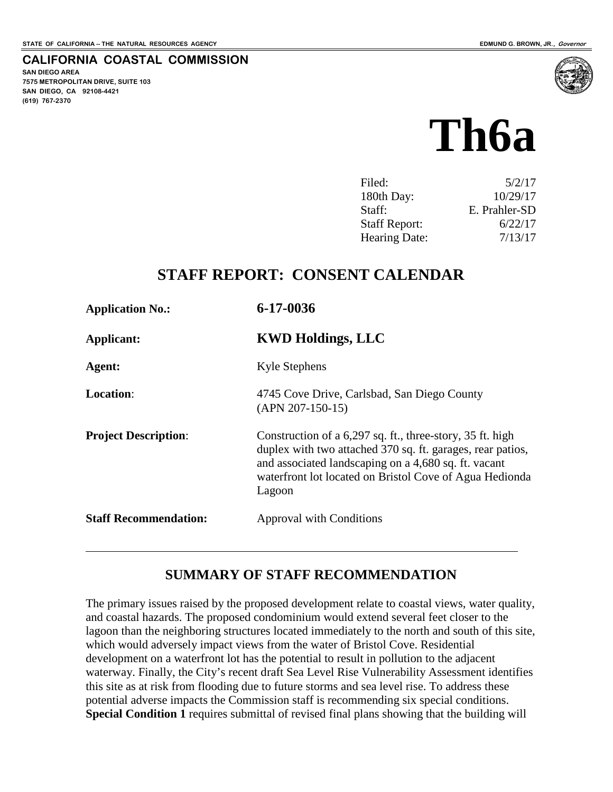**SAN DIEGO AREA**

**(619) 767-2370**

**7575 METROPOLITAN DRIVE, SUITE 103 SAN DIEGO, CA 92108-4421**

**CALIFORNIA COASTAL COMMISSION**

# **Th6a**

| 5/2/17        |
|---------------|
| 10/29/17      |
| E. Prahler-SD |
| 6/22/17       |
| 7/13/17       |
|               |

# **STAFF REPORT: CONSENT CALENDAR**

| <b>Application No.:</b>      | 6-17-0036                                                                                                                                                                                                                                            |
|------------------------------|------------------------------------------------------------------------------------------------------------------------------------------------------------------------------------------------------------------------------------------------------|
| Applicant:                   | <b>KWD Holdings, LLC</b>                                                                                                                                                                                                                             |
| Agent:                       | <b>Kyle Stephens</b>                                                                                                                                                                                                                                 |
| <b>Location:</b>             | 4745 Cove Drive, Carlsbad, San Diego County<br>$(APN 207-150-15)$                                                                                                                                                                                    |
| <b>Project Description:</b>  | Construction of a 6,297 sq. ft., three-story, 35 ft. high<br>duplex with two attached 370 sq. ft. garages, rear patios,<br>and associated landscaping on a 4,680 sq. ft. vacant<br>waterfront lot located on Bristol Cove of Agua Hedionda<br>Lagoon |
| <b>Staff Recommendation:</b> | <b>Approval with Conditions</b>                                                                                                                                                                                                                      |
|                              |                                                                                                                                                                                                                                                      |

# **SUMMARY OF STAFF RECOMMENDATION**

The primary issues raised by the proposed development relate to coastal views, water quality, and coastal hazards. The proposed condominium would extend several feet closer to the lagoon than the neighboring structures located immediately to the north and south of this site, which would adversely impact views from the water of Bristol Cove. Residential development on a waterfront lot has the potential to result in pollution to the adjacent waterway. Finally, the City's recent draft Sea Level Rise Vulnerability Assessment identifies this site as at risk from flooding due to future storms and sea level rise. To address these potential adverse impacts the Commission staff is recommending six special conditions. **Special Condition 1** requires submittal of revised final plans showing that the building will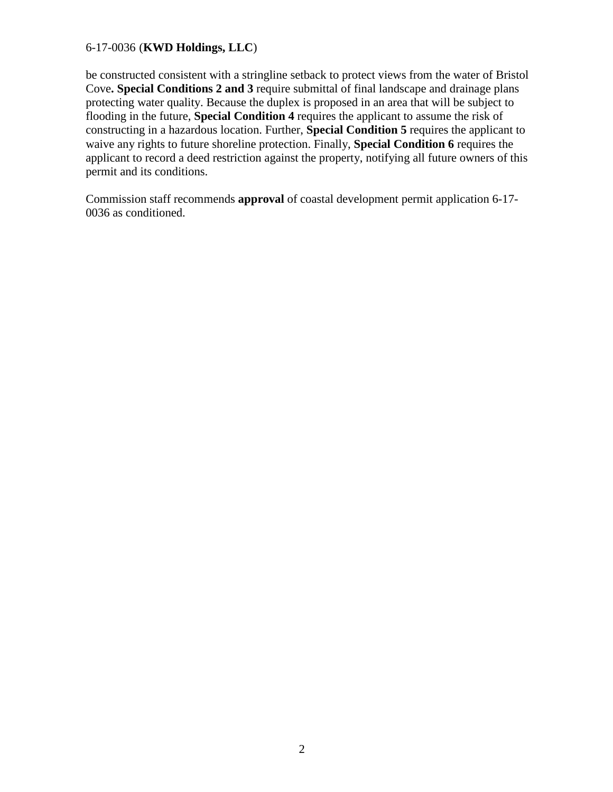be constructed consistent with a stringline setback to protect views from the water of Bristol Cove**. Special Conditions 2 and 3** require submittal of final landscape and drainage plans protecting water quality. Because the duplex is proposed in an area that will be subject to flooding in the future, **Special Condition 4** requires the applicant to assume the risk of constructing in a hazardous location. Further, **Special Condition 5** requires the applicant to waive any rights to future shoreline protection. Finally, **Special Condition 6** requires the applicant to record a deed restriction against the property, notifying all future owners of this permit and its conditions.

Commission staff recommends **approval** of coastal development permit application 6-17- 0036 as conditioned.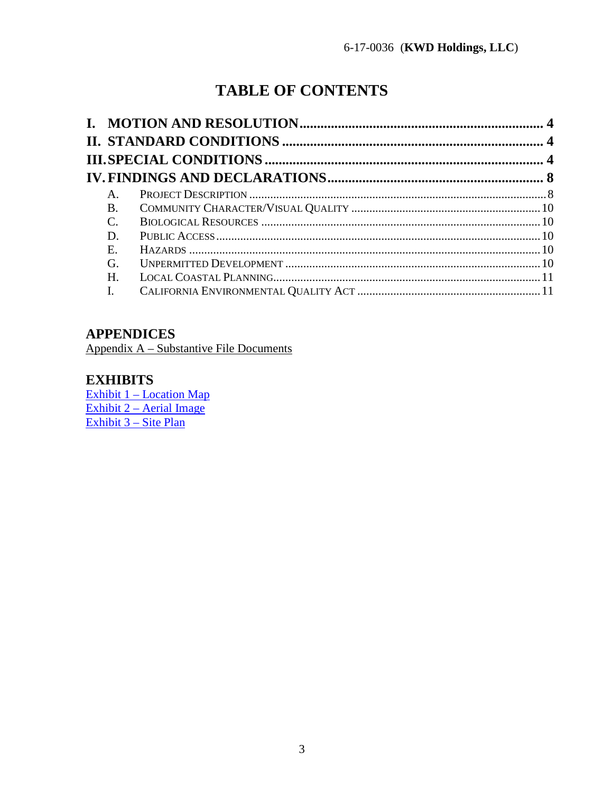# **TABLE OF CONTENTS**

| $A_{\cdot}$    |  |
|----------------|--|
| <b>B.</b>      |  |
| $\mathcal{C}$  |  |
| D.             |  |
| E.             |  |
| G.             |  |
| H.             |  |
| $\mathbf{I}$ . |  |

# **APPENDICES**

Appendix A – Substantive File Documents

# **EXHIBITS**

**Exhibit 1 - Location Map** Exhibit 2 – Aerial Image Exhibit 3 – Site Plan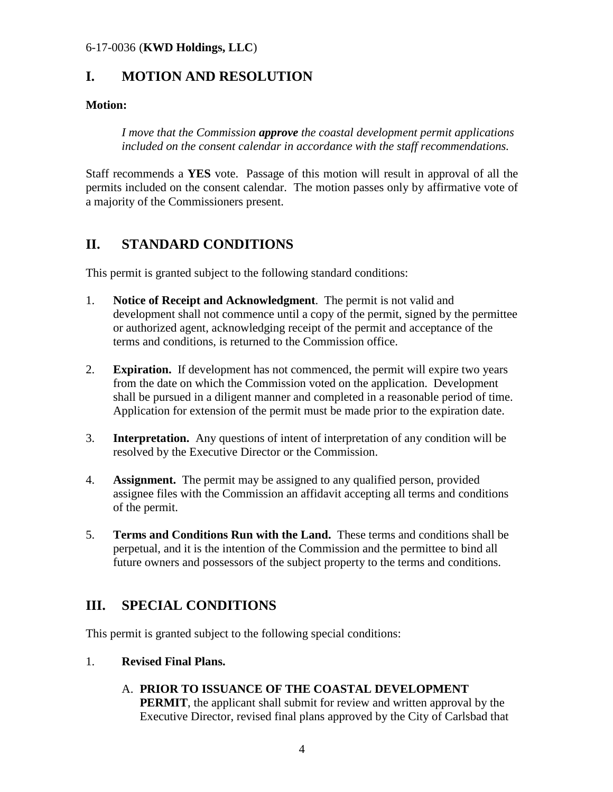# <span id="page-3-0"></span>**I. MOTION AND RESOLUTION**

#### **Motion:**

*I move that the Commission approve the coastal development permit applications included on the consent calendar in accordance with the staff recommendations.* 

Staff recommends a **YES** vote. Passage of this motion will result in approval of all the permits included on the consent calendar. The motion passes only by affirmative vote of a majority of the Commissioners present.

# <span id="page-3-1"></span>**II. STANDARD CONDITIONS**

This permit is granted subject to the following standard conditions:

- 1. **Notice of Receipt and Acknowledgment**. The permit is not valid and development shall not commence until a copy of the permit, signed by the permittee or authorized agent, acknowledging receipt of the permit and acceptance of the terms and conditions, is returned to the Commission office.
- 2. **Expiration.** If development has not commenced, the permit will expire two years from the date on which the Commission voted on the application. Development shall be pursued in a diligent manner and completed in a reasonable period of time. Application for extension of the permit must be made prior to the expiration date.
- 3. **Interpretation.** Any questions of intent of interpretation of any condition will be resolved by the Executive Director or the Commission.
- 4. **Assignment.** The permit may be assigned to any qualified person, provided assignee files with the Commission an affidavit accepting all terms and conditions of the permit.
- 5. **Terms and Conditions Run with the Land.** These terms and conditions shall be perpetual, and it is the intention of the Commission and the permittee to bind all future owners and possessors of the subject property to the terms and conditions.

# <span id="page-3-2"></span>**III. SPECIAL CONDITIONS**

This permit is granted subject to the following special conditions:

#### 1. **Revised Final Plans.**

### A. **PRIOR TO ISSUANCE OF THE COASTAL DEVELOPMENT**

**PERMIT**, the applicant shall submit for review and written approval by the Executive Director, revised final plans approved by the City of Carlsbad that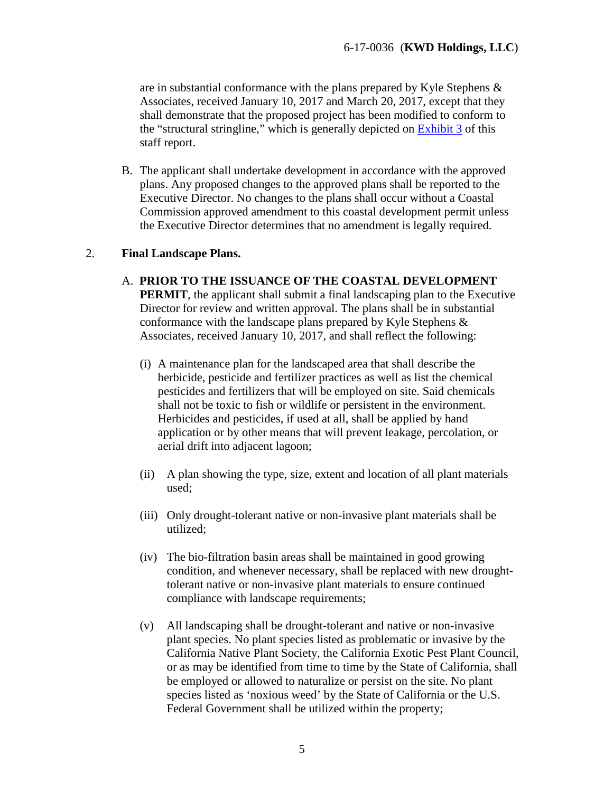are in substantial conformance with the plans prepared by Kyle Stephens & Associates, received January 10, 2017 and March 20, 2017, except that they shall demonstrate that the proposed project has been modified to conform to the "structural stringline," which is generally depicted on [Exhibit 3](https://documents.coastal.ca.gov/reports/2017/7/Th6a/Th6a-7-2017-exhibits.pdf) of this staff report.

B. The applicant shall undertake development in accordance with the approved plans. Any proposed changes to the approved plans shall be reported to the Executive Director. No changes to the plans shall occur without a Coastal Commission approved amendment to this coastal development permit unless the Executive Director determines that no amendment is legally required.

#### 2. **Final Landscape Plans.**

- A. **PRIOR TO THE ISSUANCE OF THE COASTAL DEVELOPMENT PERMIT**, the applicant shall submit a final landscaping plan to the Executive Director for review and written approval. The plans shall be in substantial conformance with the landscape plans prepared by Kyle Stephens & Associates, received January 10, 2017, and shall reflect the following:
	- (i) A maintenance plan for the landscaped area that shall describe the herbicide, pesticide and fertilizer practices as well as list the chemical pesticides and fertilizers that will be employed on site. Said chemicals shall not be toxic to fish or wildlife or persistent in the environment. Herbicides and pesticides, if used at all, shall be applied by hand application or by other means that will prevent leakage, percolation, or aerial drift into adjacent lagoon;
	- (ii) A plan showing the type, size, extent and location of all plant materials used;
	- (iii) Only drought-tolerant native or non-invasive plant materials shall be utilized;
	- (iv) The bio-filtration basin areas shall be maintained in good growing condition, and whenever necessary, shall be replaced with new droughttolerant native or non-invasive plant materials to ensure continued compliance with landscape requirements;
	- (v) All landscaping shall be drought-tolerant and native or non-invasive plant species. No plant species listed as problematic or invasive by the California Native Plant Society, the California Exotic Pest Plant Council, or as may be identified from time to time by the State of California, shall be employed or allowed to naturalize or persist on the site. No plant species listed as 'noxious weed' by the State of California or the U.S. Federal Government shall be utilized within the property;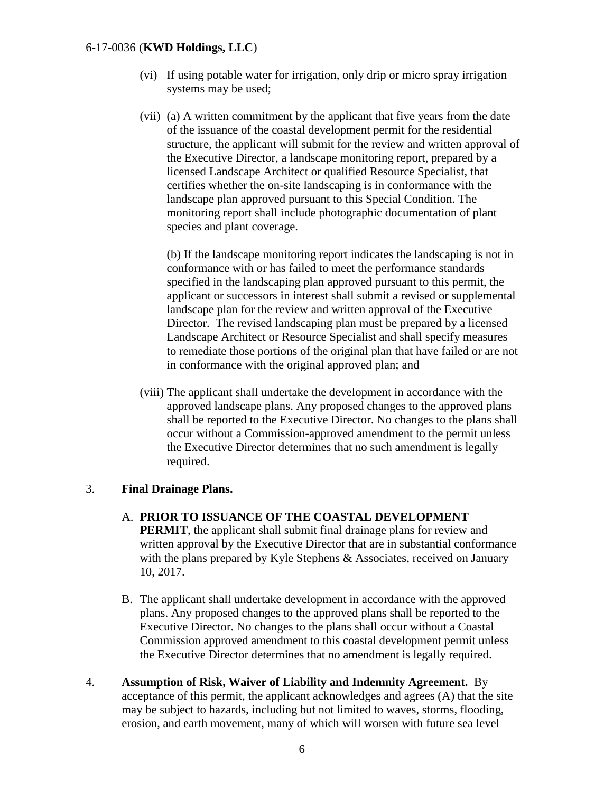- (vi) If using potable water for irrigation, only drip or micro spray irrigation systems may be used;
- (vii) (a) A written commitment by the applicant that five years from the date of the issuance of the coastal development permit for the residential structure, the applicant will submit for the review and written approval of the Executive Director, a landscape monitoring report, prepared by a licensed Landscape Architect or qualified Resource Specialist, that certifies whether the on-site landscaping is in conformance with the landscape plan approved pursuant to this Special Condition. The monitoring report shall include photographic documentation of plant species and plant coverage.

(b) If the landscape monitoring report indicates the landscaping is not in conformance with or has failed to meet the performance standards specified in the landscaping plan approved pursuant to this permit, the applicant or successors in interest shall submit a revised or supplemental landscape plan for the review and written approval of the Executive Director. The revised landscaping plan must be prepared by a licensed Landscape Architect or Resource Specialist and shall specify measures to remediate those portions of the original plan that have failed or are not in conformance with the original approved plan; and

(viii) The applicant shall undertake the development in accordance with the approved landscape plans. Any proposed changes to the approved plans shall be reported to the Executive Director. No changes to the plans shall occur without a Commission-approved amendment to the permit unless the Executive Director determines that no such amendment is legally required.

#### 3. **Final Drainage Plans.**

- A. **PRIOR TO ISSUANCE OF THE COASTAL DEVELOPMENT PERMIT**, the applicant shall submit final drainage plans for review and written approval by the Executive Director that are in substantial conformance with the plans prepared by Kyle Stephens & Associates, received on January 10, 2017.
- B. The applicant shall undertake development in accordance with the approved plans. Any proposed changes to the approved plans shall be reported to the Executive Director. No changes to the plans shall occur without a Coastal Commission approved amendment to this coastal development permit unless the Executive Director determines that no amendment is legally required.
- 4. **Assumption of Risk, Waiver of Liability and Indemnity Agreement.** By acceptance of this permit, the applicant acknowledges and agrees (A) that the site may be subject to hazards, including but not limited to waves, storms, flooding, erosion, and earth movement, many of which will worsen with future sea level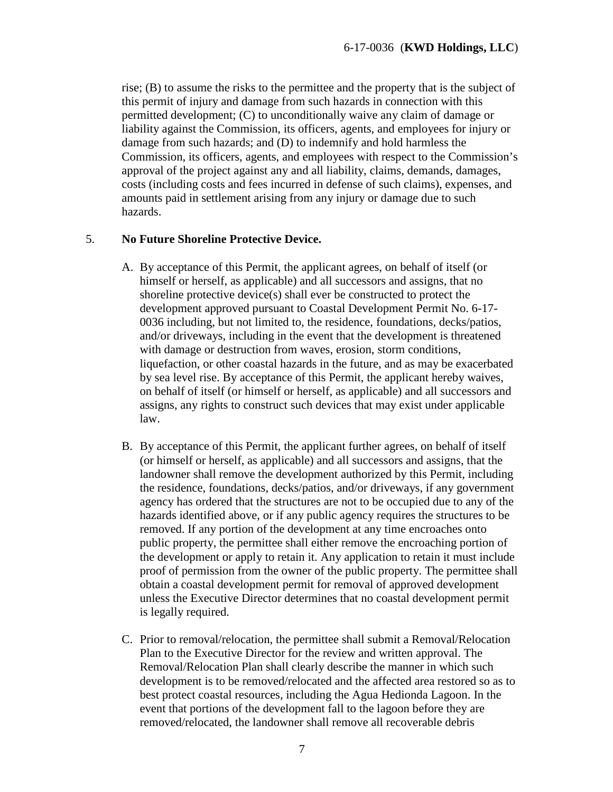rise; (B) to assume the risks to the permittee and the property that is the subject of this permit of injury and damage from such hazards in connection with this permitted development; (C) to unconditionally waive any claim of damage or liability against the Commission, its officers, agents, and employees for injury or damage from such hazards; and (D) to indemnify and hold harmless the Commission, its officers, agents, and employees with respect to the Commission's approval of the project against any and all liability, claims, demands, damages, costs (including costs and fees incurred in defense of such claims), expenses, and amounts paid in settlement arising from any injury or damage due to such hazards.

#### 5. **No Future Shoreline Protective Device.**

- A. By acceptance of this Permit, the applicant agrees, on behalf of itself (or himself or herself, as applicable) and all successors and assigns, that no shoreline protective device(s) shall ever be constructed to protect the development approved pursuant to Coastal Development Permit No. 6-17- 0036 including, but not limited to, the residence, foundations, decks/patios, and/or driveways, including in the event that the development is threatened with damage or destruction from waves, erosion, storm conditions, liquefaction, or other coastal hazards in the future, and as may be exacerbated by sea level rise. By acceptance of this Permit, the applicant hereby waives, on behalf of itself (or himself or herself, as applicable) and all successors and assigns, any rights to construct such devices that may exist under applicable law.
- B. By acceptance of this Permit, the applicant further agrees, on behalf of itself (or himself or herself, as applicable) and all successors and assigns, that the landowner shall remove the development authorized by this Permit, including the residence, foundations, decks/patios, and/or driveways, if any government agency has ordered that the structures are not to be occupied due to any of the hazards identified above, or if any public agency requires the structures to be removed. If any portion of the development at any time encroaches onto public property, the permittee shall either remove the encroaching portion of the development or apply to retain it. Any application to retain it must include proof of permission from the owner of the public property. The permittee shall obtain a coastal development permit for removal of approved development unless the Executive Director determines that no coastal development permit is legally required.
- C. Prior to removal/relocation, the permittee shall submit a Removal/Relocation Plan to the Executive Director for the review and written approval. The Removal/Relocation Plan shall clearly describe the manner in which such development is to be removed/relocated and the affected area restored so as to best protect coastal resources, including the Agua Hedionda Lagoon. In the event that portions of the development fall to the lagoon before they are removed/relocated, the landowner shall remove all recoverable debris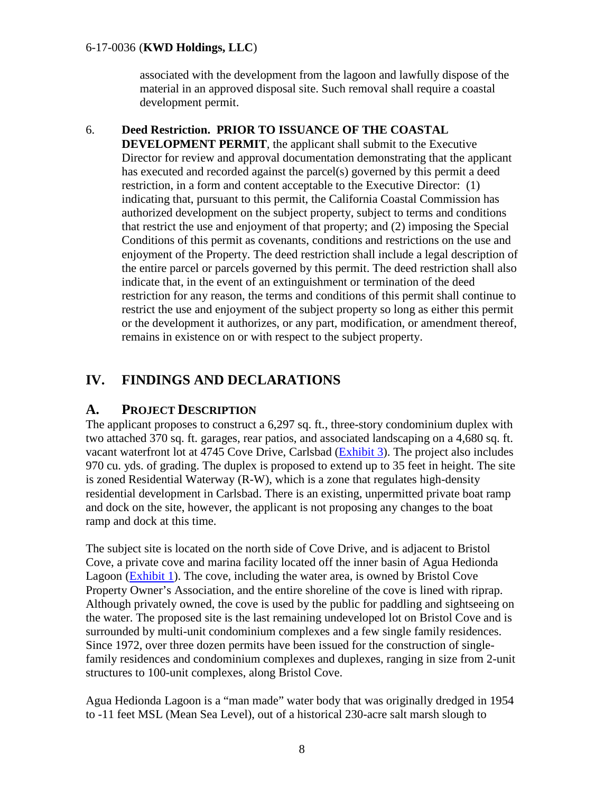associated with the development from the lagoon and lawfully dispose of the material in an approved disposal site. Such removal shall require a coastal development permit.

#### 6. **Deed Restriction. PRIOR TO ISSUANCE OF THE COASTAL**

**DEVELOPMENT PERMIT**, the applicant shall submit to the Executive Director for review and approval documentation demonstrating that the applicant has executed and recorded against the parcel(s) governed by this permit a deed restriction, in a form and content acceptable to the Executive Director: (1) indicating that, pursuant to this permit, the California Coastal Commission has authorized development on the subject property, subject to terms and conditions that restrict the use and enjoyment of that property; and (2) imposing the Special Conditions of this permit as covenants, conditions and restrictions on the use and enjoyment of the Property. The deed restriction shall include a legal description of the entire parcel or parcels governed by this permit. The deed restriction shall also indicate that, in the event of an extinguishment or termination of the deed restriction for any reason, the terms and conditions of this permit shall continue to restrict the use and enjoyment of the subject property so long as either this permit or the development it authorizes, or any part, modification, or amendment thereof, remains in existence on or with respect to the subject property.

# <span id="page-7-0"></span>**IV. FINDINGS AND DECLARATIONS**

#### <span id="page-7-1"></span>**A. PROJECT DESCRIPTION**

The applicant proposes to construct a 6,297 sq. ft., three-story condominium duplex with two attached 370 sq. ft. garages, rear patios, and associated landscaping on a 4,680 sq. ft. vacant waterfront lot at 4745 Cove Drive, Carlsbad [\(Exhibit 3\)](https://documents.coastal.ca.gov/reports/2017/7/Th6a/Th6a-7-2017-exhibits.pdf). The project also includes 970 cu. yds. of grading. The duplex is proposed to extend up to 35 feet in height. The site is zoned Residential Waterway (R-W), which is a zone that regulates high-density residential development in Carlsbad. There is an existing, unpermitted private boat ramp and dock on the site, however, the applicant is not proposing any changes to the boat ramp and dock at this time.

The subject site is located on the north side of Cove Drive, and is adjacent to Bristol Cove, a private cove and marina facility located off the inner basin of Agua Hedionda Lagoon [\(Exhibit 1\)](https://documents.coastal.ca.gov/reports/2017/7/Th6a/Th6a-7-2017-exhibits.pdf). The cove, including the water area, is owned by Bristol Cove Property Owner's Association, and the entire shoreline of the cove is lined with riprap. Although privately owned, the cove is used by the public for paddling and sightseeing on the water. The proposed site is the last remaining undeveloped lot on Bristol Cove and is surrounded by multi-unit condominium complexes and a few single family residences. Since 1972, over three dozen permits have been issued for the construction of singlefamily residences and condominium complexes and duplexes, ranging in size from 2-unit structures to 100-unit complexes, along Bristol Cove.

Agua Hedionda Lagoon is a "man made" water body that was originally dredged in 1954 to -11 feet MSL (Mean Sea Level), out of a historical 230-acre salt marsh slough to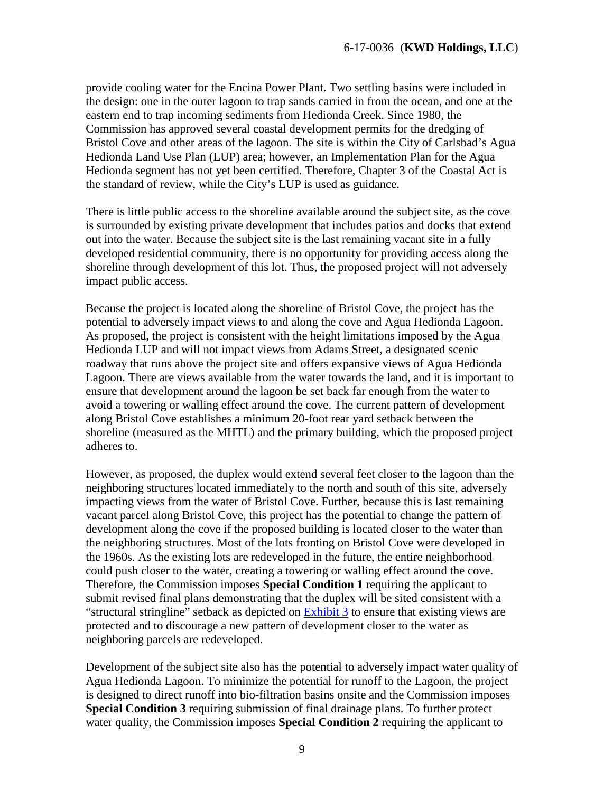provide cooling water for the Encina Power Plant. Two settling basins were included in the design: one in the outer lagoon to trap sands carried in from the ocean, and one at the eastern end to trap incoming sediments from Hedionda Creek. Since 1980, the Commission has approved several coastal development permits for the dredging of Bristol Cove and other areas of the lagoon. The site is within the City of Carlsbad's Agua Hedionda Land Use Plan (LUP) area; however, an Implementation Plan for the Agua Hedionda segment has not yet been certified. Therefore, Chapter 3 of the Coastal Act is the standard of review, while the City's LUP is used as guidance.

There is little public access to the shoreline available around the subject site, as the cove is surrounded by existing private development that includes patios and docks that extend out into the water. Because the subject site is the last remaining vacant site in a fully developed residential community, there is no opportunity for providing access along the shoreline through development of this lot. Thus, the proposed project will not adversely impact public access.

Because the project is located along the shoreline of Bristol Cove, the project has the potential to adversely impact views to and along the cove and Agua Hedionda Lagoon. As proposed, the project is consistent with the height limitations imposed by the Agua Hedionda LUP and will not impact views from Adams Street, a designated scenic roadway that runs above the project site and offers expansive views of Agua Hedionda Lagoon. There are views available from the water towards the land, and it is important to ensure that development around the lagoon be set back far enough from the water to avoid a towering or walling effect around the cove. The current pattern of development along Bristol Cove establishes a minimum 20-foot rear yard setback between the shoreline (measured as the MHTL) and the primary building, which the proposed project adheres to.

However, as proposed, the duplex would extend several feet closer to the lagoon than the neighboring structures located immediately to the north and south of this site, adversely impacting views from the water of Bristol Cove. Further, because this is last remaining vacant parcel along Bristol Cove, this project has the potential to change the pattern of development along the cove if the proposed building is located closer to the water than the neighboring structures. Most of the lots fronting on Bristol Cove were developed in the 1960s. As the existing lots are redeveloped in the future, the entire neighborhood could push closer to the water, creating a towering or walling effect around the cove. Therefore, the Commission imposes **Special Condition 1** requiring the applicant to submit revised final plans demonstrating that the duplex will be sited consistent with a "structural stringline" setback as depicted on [Exhibit 3](https://documents.coastal.ca.gov/reports/2017/7/Th6a/Th6a-7-2017-exhibits.pdf) to ensure that existing views are protected and to discourage a new pattern of development closer to the water as neighboring parcels are redeveloped.

Development of the subject site also has the potential to adversely impact water quality of Agua Hedionda Lagoon. To minimize the potential for runoff to the Lagoon, the project is designed to direct runoff into bio-filtration basins onsite and the Commission imposes **Special Condition 3** requiring submission of final drainage plans. To further protect water quality, the Commission imposes **Special Condition 2** requiring the applicant to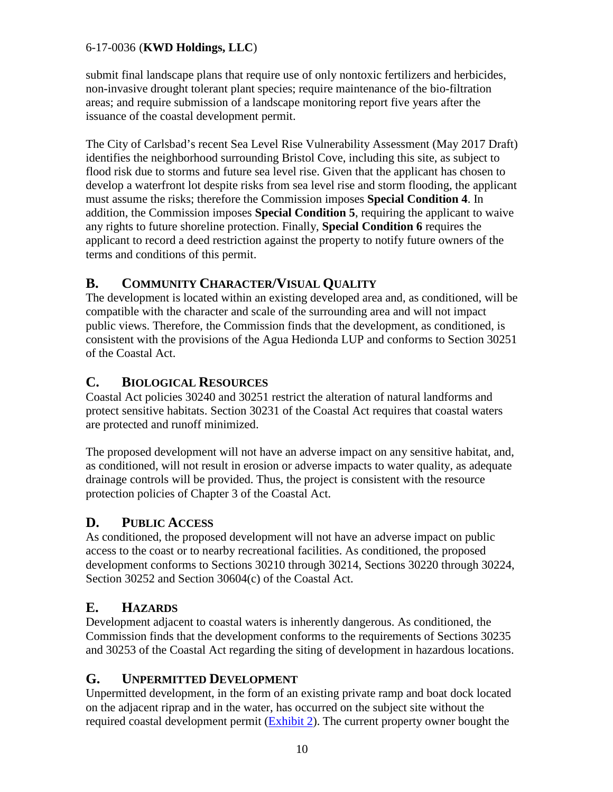submit final landscape plans that require use of only nontoxic fertilizers and herbicides, non-invasive drought tolerant plant species; require maintenance of the bio-filtration areas; and require submission of a landscape monitoring report five years after the issuance of the coastal development permit.

The City of Carlsbad's recent Sea Level Rise Vulnerability Assessment (May 2017 Draft) identifies the neighborhood surrounding Bristol Cove, including this site, as subject to flood risk due to storms and future sea level rise. Given that the applicant has chosen to develop a waterfront lot despite risks from sea level rise and storm flooding, the applicant must assume the risks; therefore the Commission imposes **Special Condition 4**. In addition, the Commission imposes **Special Condition 5**, requiring the applicant to waive any rights to future shoreline protection. Finally, **Special Condition 6** requires the applicant to record a deed restriction against the property to notify future owners of the terms and conditions of this permit.

## <span id="page-9-0"></span>**B. COMMUNITY CHARACTER/VISUAL QUALITY**

The development is located within an existing developed area and, as conditioned, will be compatible with the character and scale of the surrounding area and will not impact public views. Therefore, the Commission finds that the development, as conditioned, is consistent with the provisions of the Agua Hedionda LUP and conforms to Section 30251 of the Coastal Act.

### <span id="page-9-1"></span>**C. BIOLOGICAL RESOURCES**

Coastal Act policies 30240 and 30251 restrict the alteration of natural landforms and protect sensitive habitats. Section 30231 of the Coastal Act requires that coastal waters are protected and runoff minimized.

The proposed development will not have an adverse impact on any sensitive habitat, and, as conditioned, will not result in erosion or adverse impacts to water quality, as adequate drainage controls will be provided. Thus, the project is consistent with the resource protection policies of Chapter 3 of the Coastal Act.

### <span id="page-9-2"></span>**D. PUBLIC ACCESS**

As conditioned, the proposed development will not have an adverse impact on public access to the coast or to nearby recreational facilities. As conditioned, the proposed development conforms to Sections 30210 through 30214, Sections 30220 through 30224, Section 30252 and Section 30604(c) of the Coastal Act.

# <span id="page-9-3"></span>**E. HAZARDS**

Development adjacent to coastal waters is inherently dangerous. As conditioned, the Commission finds that the development conforms to the requirements of Sections 30235 and 30253 of the Coastal Act regarding the siting of development in hazardous locations.

### <span id="page-9-4"></span>**G. UNPERMITTED DEVELOPMENT**

Unpermitted development, in the form of an existing private ramp and boat dock located on the adjacent riprap and in the water, has occurred on the subject site without the required coastal development permit [\(Exhibit 2\)](https://documents.coastal.ca.gov/reports/2017/7/Th6a/Th6a-7-2017-exhibits.pdf). The current property owner bought the